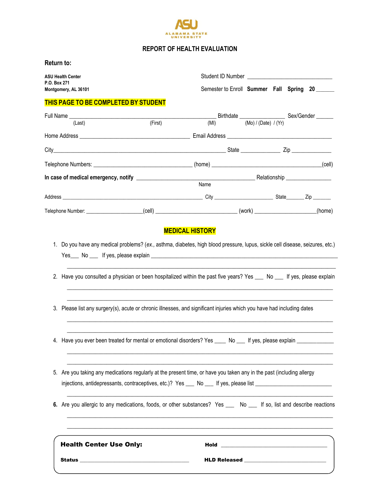

## **REPORT OF HEALTH EVALUATION**

| Return to: |  |
|------------|--|
|            |  |

| ASU Health Center<br>P.O. Box 271                                                                                             |         |                                                                                                                                                                                                                                         |  |  |        |
|-------------------------------------------------------------------------------------------------------------------------------|---------|-----------------------------------------------------------------------------------------------------------------------------------------------------------------------------------------------------------------------------------------|--|--|--------|
| Montgomery, AL 36101                                                                                                          |         | Semester to Enroll Summer Fall Spring 20                                                                                                                                                                                                |  |  |        |
| THIS PAGE TO BE COMPLETED BY STUDENT                                                                                          |         |                                                                                                                                                                                                                                         |  |  |        |
|                                                                                                                               |         |                                                                                                                                                                                                                                         |  |  |        |
| (Last)                                                                                                                        | (First) |                                                                                                                                                                                                                                         |  |  |        |
|                                                                                                                               |         |                                                                                                                                                                                                                                         |  |  |        |
|                                                                                                                               |         |                                                                                                                                                                                                                                         |  |  |        |
|                                                                                                                               |         |                                                                                                                                                                                                                                         |  |  |        |
|                                                                                                                               |         | Name                                                                                                                                                                                                                                    |  |  |        |
|                                                                                                                               |         |                                                                                                                                                                                                                                         |  |  |        |
|                                                                                                                               |         |                                                                                                                                                                                                                                         |  |  | (home) |
| 1. Do you have any medical problems? (ex., asthma, diabetes, high blood pressure, lupus, sickle cell disease, seizures, etc.) |         | 2. Have you consulted a physician or been hospitalized within the past five years? Yes ___ No ___ If yes, please explain                                                                                                                |  |  |        |
|                                                                                                                               |         | 3. Please list any surgery(s), acute or chronic illnesses, and significant injuries which you have had including dates                                                                                                                  |  |  |        |
|                                                                                                                               |         | 4. Have you ever been treated for mental or emotional disorders? Yes ____ No ___ If yes, please explain _______                                                                                                                         |  |  |        |
|                                                                                                                               |         | 5. Are you taking any medications regularly at the present time, or have you taken any in the past (including allergy<br>injections, antidepressants, contraceptives, etc.)? Yes ___ No ___ If yes, please list _______________________ |  |  |        |
|                                                                                                                               |         | 6. Are you allergic to any medications, foods, or other substances? Yes ____ No ___ If so, list and describe reactions                                                                                                                  |  |  |        |
| <b>Health Center Use Only:</b>                                                                                                |         |                                                                                                                                                                                                                                         |  |  |        |